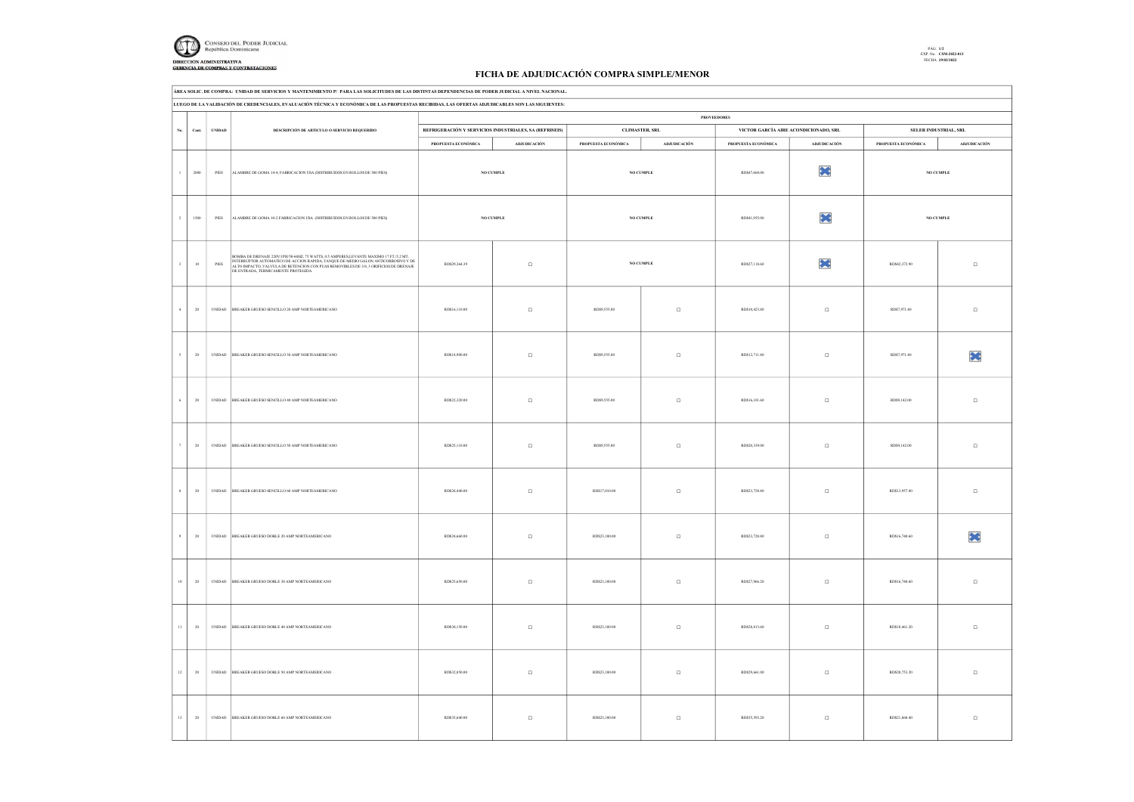

## FICHA DE ADJUDICACIÓN COMPRA SIMPLE/MENOR

|                           |                                                                                                                                                  | AREA SOLIC. DE COMPRA: UNIDAD DE SERVICIOS Y MANTENIMIENTO P/ PARA LAS SOLICITUDES DE LAS DISTINTAS DEPENDENCIAS DE PODER JUDICIAL A NIVEL NACIONAL.                                                                                                                       |                     |                                                        |                     |                |                     |                                       |                     |                       |  |  |
|---------------------------|--------------------------------------------------------------------------------------------------------------------------------------------------|----------------------------------------------------------------------------------------------------------------------------------------------------------------------------------------------------------------------------------------------------------------------------|---------------------|--------------------------------------------------------|---------------------|----------------|---------------------|---------------------------------------|---------------------|-----------------------|--|--|
|                           | LUEGO DE LA VALIDACIÓN DE CREDENCIALES, EVALUACIÓN TÉCNICA Y ECONÓMICA DE LAS PROPUESTAS RECIBIDAS, LAS OFERTAS ADJUDICABLES SON LAS SIGUIENTES: |                                                                                                                                                                                                                                                                            |                     |                                                        |                     |                |                     |                                       |                     |                       |  |  |
|                           |                                                                                                                                                  |                                                                                                                                                                                                                                                                            |                     |                                                        |                     |                | <b>PROVEEDORES</b>  |                                       |                     |                       |  |  |
| $_{\mathrm{No.}}$<br>Cant | <b>UNIDAD</b>                                                                                                                                    | DESCRIPCIÓN DE ARTICULO O SERVICIO REQUERIDO                                                                                                                                                                                                                               |                     | REFRIGERACIÓN Y SERVICIOS INDUSTRIALES, SA (REFRISEIS) |                     | CLIMASTER, SRL |                     | VICTOR GARCÍA AIRE ACONDICIONADO, SRL |                     | SELER INDUSTRIAL, SRL |  |  |
|                           |                                                                                                                                                  |                                                                                                                                                                                                                                                                            | PROPUESTA ECONÓMICA | ADJUDICACIÓN                                           | PROPUESTA ECONÓMICA | ADJUDICACIÓN   | PROPUESTA ECONÓMICA | ADJUDICACIÓN                          | PROPUESTA ECONÓMICA | <b>ADJUDICACIÓN</b>   |  |  |
|                           |                                                                                                                                                  |                                                                                                                                                                                                                                                                            |                     |                                                        |                     |                |                     |                                       |                     |                       |  |  |
| 2000<br>$\mathbf{I}$      | PIES                                                                                                                                             | ALAMBRE DE GOMA 14-4, FABRICACION USA (DISTRIBUIDOS EN ROLLOS DE 500 PIES)                                                                                                                                                                                                 |                     | <b>NO CUMPLE</b>                                       |                     | NO CUMPLE      | RD\$47,460.00       | ×                                     |                     | <b>NO CUMPLE</b>      |  |  |
| $\,2\,$<br>1500           | PIES                                                                                                                                             | ALAMBRE DE GOMA 10-2 FABRICACION USA (DISTRIBUIDOS EN ROLLOS DE 500 PIES)                                                                                                                                                                                                  |                     | NO CUMPLE                                              |                     | NO CUMPLE      | RD\$41,955.00       | ×                                     |                     | $\rm NO$ CUMPLE       |  |  |
| $10\,$                    | PIES                                                                                                                                             | BOMBA DE DRENAJE 220V/IPH/50-60HZ, 75 WATTS, 0.5 AMPERES,LEVANTE MAXIMO 17 FT/5.2 MT,<br>INTERRUPTOR AUTOMATICO DE ACCION RAPIDA, TANQUE DE MEDIO GALON ANTICORROSIVO Y DE<br>ALTO IMPACTO, VALVULA DE RETENCION CON PUAS REMOVIBLES<br>DE ENTRADA, TERMICAMENTE PROTEGIDA | RD\$29,364.39       | $\Box$                                                 |                     | NO CUMPLE      | RD\$27,118.60       | ×                                     | RD\$42,372.90       | $\Box$                |  |  |
| $20\,$<br>$\overline{4}$  | $\ensuremath{\mathsf{UNIDAD}}$                                                                                                                   | BREAKER GRUESO SENCILLO 20 AMP NORTEAMERICANO                                                                                                                                                                                                                              | RD\$16,110.00       | $\Box$                                                 | RD\$9,555.00        | $\Box$         | RD\$10,423.80       | $\Box$                                | RD\$7,971.40        | $\Box$                |  |  |
| $20\,$                    |                                                                                                                                                  | UNIDAD BREAKER GRUESO SENCILLO 30 AMP NORTEAMERICANO                                                                                                                                                                                                                       | RD\$18,900.00       | $\Box$                                                 | RD\$9,555.00        | $\Box$         | RD\$12,711.80       | $\Box$                                | RD\$7,971.40        | ×                     |  |  |
| $20\,$                    |                                                                                                                                                  | UNIDAD BREAKER GRUESO SENCILLO 40 AMP NORTEAMERICANO                                                                                                                                                                                                                       | RD\$22,320.00       | $\Box$                                                 | RD\$9,555.00        | $\Box$         | RD\$16,101.60       | $\Box$                                | RD\$9,142.00        | $\Box$                |  |  |
| $\tau$<br>20              |                                                                                                                                                  | UNIDAD BREAKER GRUESO SENCILLO 50 AMP NORTEAMERICANO                                                                                                                                                                                                                       | RD\$25,110.00       | $\Box$                                                 | RD\$9,555.00        | $\Box$         | RD\$20,339.00       | $\Box$                                | RD\$9,142.00        | $\Box$                |  |  |
| 20                        |                                                                                                                                                  | UNIDAD BREAKER GRUESO SENCILLO 60 AMP NORTEAMERICANO                                                                                                                                                                                                                       | RD\$28,440.00       | $\Box$                                                 | RD\$17,010.00       | $\Box$         | RD\$23,728.80       | $\Box$                                | RD\$13,957.80       | $\Box$                |  |  |
| $20\,$                    | $\ensuremath{\mathsf{UNIDAD}}$                                                                                                                   | BREAKER GRUESO DOBLE 20 AMP NORTEAMERICANO                                                                                                                                                                                                                                 | RD\$24,660.00       | $\Box$                                                 | RD\$23,100.00       | $\Box$         | RD\$23,728.80       | $\Box$                                | RD\$16,740.60       | ×                     |  |  |
| $20\,$<br>$10\,$          | $\ensuremath{\mathsf{UNIDAD}}$                                                                                                                   | BREAKER GRUESO DOBLE 30 AMP NORTEAMERICANO                                                                                                                                                                                                                                 | RD\$25,650.00       | $\Box$                                                 | RD\$23,100.00       | $\Box$         | RD\$27,966.20       | $\Box$                                | RD\$16,740.60       | $\Box$                |  |  |
| $20\,$                    | $\ensuremath{\mathsf{UNIDAD}}$                                                                                                                   | BREAKER GRUESO DOBLE 40 AMP NORTEAMERICANO                                                                                                                                                                                                                                 | RD\$30,150.00       | $\Box$                                                 | RD\$23,100.00       | $\Box$         | RD\$28,813.60       | $\Box$                                | RD\$18,461.20       | $\Box$                |  |  |
| $12\,$<br>$20\,$          |                                                                                                                                                  | UNIDAD BREAKER GRUESO DOBLE 50 AMP NORTEAMERICANO                                                                                                                                                                                                                          | RD\$32,850.00       | $\Box$                                                 | RD\$23,100.00       | $\Box$         | RD\$29,661.00       | $\Box$                                | RD\$20,753.20       | $\Box$                |  |  |
| 13<br>20                  |                                                                                                                                                  | UNIDAD BREAKER GRUESO DOBLE 60 AMP NORTEAMERICANO                                                                                                                                                                                                                          | RD\$35,640.00       | $\Box$                                                 | RD\$23,100.00       | $\Box$         | RD\$35.593.20       | $\Box$                                | RD\$21,860.40       | $\Box$                |  |  |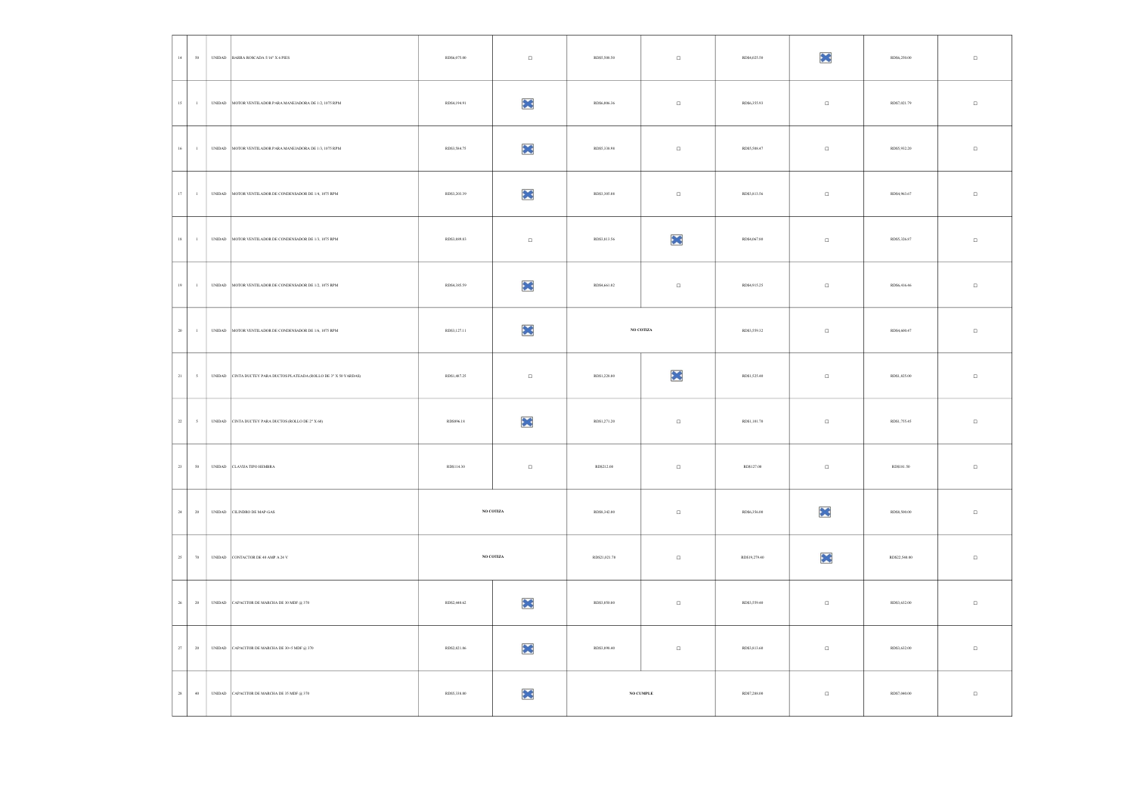| $14\,$      | $\boldsymbol{\mathsf{S}}0$ | $\ensuremath{\mathsf{UNIDAD}}$ | BARRA ROSCADA $5/16^{\circ}$ X $6$ PIES                                                                  | RD\$6,075.00 | $\Box$           | RD\$5,508.50  | $\Box$          | RD\$4,025.50  | ×      | RD\$6,250.00  | $\Box$ |
|-------------|----------------------------|--------------------------------|----------------------------------------------------------------------------------------------------------|--------------|------------------|---------------|-----------------|---------------|--------|---------------|--------|
| $15\,$      | $\sim 1$                   |                                | UNDAD MOTOR VENTILADOR PARA MANEJADORA DE 1/2, 1075 RPM                                                  | RD\$4,194.91 | ×                | RD\$6,006.36  | $\Box$          | RD\$6,355.93  | $\Box$ | RD\$7,021.79  | $\Box$ |
| $16\,$      | $\,$ 1 $\,$                | $\ensuremath{\text{UNIDAD}}$   | MOTOR VENTILADOR PARA MANEJADORA DE 1/3, 1075 RPM                                                        | RD\$3,584.75 | ×                | RD\$5,338.98  | $\Box$          | RD\$5,508.47  | $\Box$ | RD\$5,932.20  | $\Box$ |
| $17\,$      | $\sim 1$                   |                                | UNIDAD MOTOR VENTILADOR DE CONDENSADOR DE 1/4, 1075 RPM                                                  | RD\$3,203.39 | ×                | RD\$3,305.08  | $\Box$          | RD\$3,813.56  | $\Box$ | RD\$4,963.67  | $\Box$ |
| $18\,$      | $\,$ $\,$                  | $\ensuremath{\mathsf{UNIDAD}}$ | MOTOR VENTILADOR DE CONDENSADOR DE 1/3, 1075 RPM                                                         | RD\$3,889.83 | $\Box$           | RD\$3,813.56  | ×               | RD\$4,067.80  | $\Box$ | RD\$5,326.87  | $\Box$ |
| $19\,$      | $\sim 1$                   |                                | UNIDAD MOTOR VENTILADOR DE CONDENSADOR DE 1/2, 1075 RPM                                                  | RD\$4,385.59 | ×                | RD\$4,661.02  | $\Box$          | RD\$4,915.25  | $\Box$ | RD\$6,416.46  | $\Box$ |
| $20\,$      | $\,$ $\,$                  | $\ensuremath{\mathsf{UNIDAD}}$ | MOTOR VENTILADOR DE CONDENSADOR DE 1/6, 1075 RPM                                                         | RD\$3,127.11 | ×                |               | $\rm NO$ COTIZA | RD\$3,559.32  | $\Box$ | RD\$4,600.47  | $\Box$ |
| $_{\rm 21}$ | $\sim$                     |                                | UNIDAD CINTA DUCTEY PARA DUCTOS PLATEADA (ROLLO DE 3" X 50 YARDAS)                                       | RD\$1,487.25 | $\Box$           | RD\$1,228.80  | ×               | RD\$1,525.40  | $\Box$ | RD\$1,825.00  | $\Box$ |
| $22\,$      | $\sim$                     | $\ensuremath{\mathsf{UNIDAD}}$ | CINTA DUCTEY PARA DUCTOS (ROLLO DE 2° X $60)$                                                            | RD\$896.18   | ×                | RD\$1,271.20  | $\Box$          | RD\$1,101.70  | $\Box$ | RD\$1,755.45  | $\Box$ |
| $_{\rm 23}$ | $\sqrt{50}$                |                                | $\begin{tabular}{ c c c c } \hline \textbf{UNIDAD} & \textbf{CLAVUA TIFO HEMBRA} \\\hline \end{tabular}$ | RD\$114.30   | $\hfill \square$ | RD\$212.00    | $\Box$          | RD\$127.00    | $\Box$ | RD\$181.50    | $\Box$ |
| $_{\rm 24}$ | $20\,$                     | $\ensuremath{\mathsf{UNIDAD}}$ | CILINDRO DE MAP-GAS                                                                                      |              | NO COTIZA        | RD\$8,342.00  | $\Box$          | RD\$6,356.00  | ×      | RD\$8,500.00  | $\Box$ |
| $25\,$      | $\boldsymbol{\pi}$         |                                | UNIDAD CONTACTOR DE 40 AMP A 24 V                                                                        |              | NO COTIZA        | RD\$21,021.70 | $\Box$          | RD\$19,279.40 | ×      | RD\$22,540.00 | $\Box$ |
| $26\,$      | $20\,$                     | $\ensuremath{\mathsf{UNIDAD}}$ | CAPACITOR DE MARCHA DE 30 MDF $@$ 370                                                                    | RD\$2,440.62 | ×                | RD\$3,050.80  | $\Box$          | RD\$3,559.40  | $\Box$ | RD\$3,632.00  | $\Box$ |
| $_{\rm 27}$ | $20\,$                     |                                | UNIDAD CAPACITOR DE MARCHA DE 30+5 MDF @ 370                                                             | RD\$2,821.86 | ×                | RD\$3,898.40  | $\Box$          | RD\$3,813.60  | $\Box$ | RD\$3,632.00  | $\Box$ |
| $28\,$      | 40                         |                                | UNIDAD CAPACITOR DE MARCHA DE 35 MDF @ 370                                                               | RD\$5,338.80 | ×                |               | NO CUMPLE       | RD\$7,288.00  | $\Box$ | RD\$7,040.00  | $\Box$ |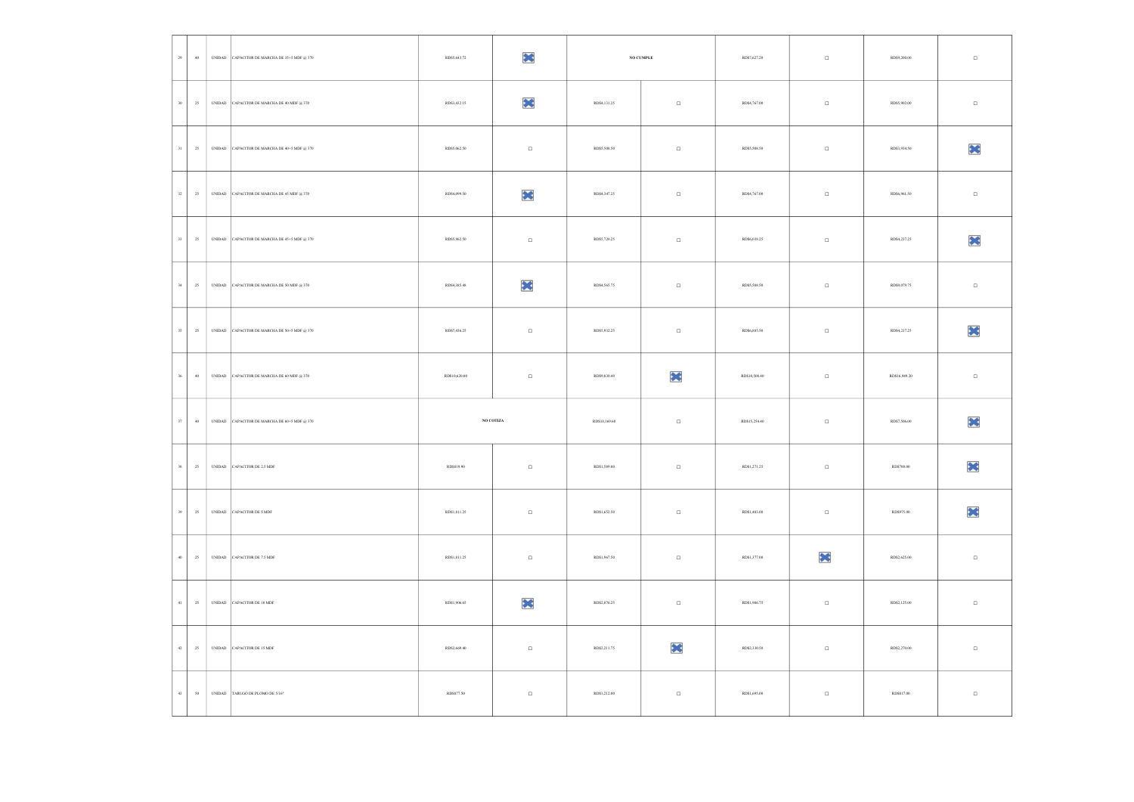| $\mathbf{29}$ | $40$                       | UNIDAD CAPACITOR DE MARCHA DE 35+5 MDF @ 370 | RD\$5,643.72  | ×               |               | $\,$ NO CUMPLE | RD\$7,627.20  | $\Box$ | RD\$9,200.00  | $\Box$ |
|---------------|----------------------------|----------------------------------------------|---------------|-----------------|---------------|----------------|---------------|--------|---------------|--------|
| $_{\rm 30}$   | $25\,$                     | UNIDAD CAPACITOR DE MARCHA DE 40 MDF @ 370   | RD\$3,432.15  | ×               | RD\$4,131.25  | $\Box$         | RD\$4,767.00  | $\Box$ | RD\$5,902.00  | $\Box$ |
| $31\,$        | 25                         | UNIDAD CAPACITOR DE MARCHA DE 40+5 MDF @ 370 | RD\$5,062.50  | $\Box$          | RD\$5,508.50  | $\Box$         | RD\$5,508.50  | $\Box$ | RD\$3,934.50  | ×      |
| $32\,$        | 25                         | UNIDAD CAPACITOR DE MARCHA DE 45 MDF @ 370   | RD\$4,099.50  | X               | RD\$4,347.25  | $\Box$         | RD\$4,767.00  | $\Box$ | RD\$6,961.50  | $\Box$ |
| $33\,$        | 25                         | UNIDAD CAPACITOR DE MARCHA DE 45+5 MDF @ 370 | RD\$5,962.50  | $\Box$          | RD\$5,720.25  | $\Box$         | RD\$6,038.25  | $\Box$ | RD\$4,237.25  | ×      |
| $_{\rm 34}$   | $25\,$                     | UNIDAD CAPACITOR DE MARCHA DE 50 MDF @ 370   | RD\$4,385.48  | ×               | RD\$4,565.75  | $\Box$         | RD\$5,508.50  | $\Box$ | RD\$9,079.75  | $\Box$ |
| $35\,$        | $\mathbf{25}$              | UNIDAD CAPACITOR DE MARCHA DE 50+5 MDF @ 370 | RD\$7,436.25  | $\Box$          | RD\$5,932.25  | $\Box$         | RD\$6,885.50  | $\Box$ | RD\$4,237.25  | ×      |
| $36\,$        | $40\,$                     | UNIDAD CAPACITOR DE MARCHA DE 60 MDF @ 370   | RD\$10,620.00 | $\Box$          | RD\$9,830.40  | ×              | RD\$10,508.40 | $\Box$ | RD\$16,949.20 | $\Box$ |
| $37\,$        | $40\,$                     | UNIDAD CAPACITOR DE MARCHA DE 60+5 MDF @ 370 |               | $\rm NO$ COTIZA | RD\$10,169.60 | $\Box$         | RD\$15,254.40 | $\Box$ | RD\$7,506.00  | ×      |
| $38\,$        | $\mathbf{25}$              | UNIDAD CAPACITOR DE 2.5 MDF                  | RD\$819.90    | $\Box$          | RD\$1,589.00  | $\Box$         | RD\$1,271.25  | $\Box$ | RD\$700.00    | ×      |
| $_{\rm 39}$   | $\mathbf{25}$              | UNIDAD CAPACITOR DE 5 MDF                    | RD\$1,811.25  | $\Box$          | RD\$1,652.50  | $\Box$         | RD\$1,483.00  | $\Box$ | RD\$975.00    | ×      |
| $40\,$        | $\mathbf{25}$              | UNIDAD CAPACITOR DE 7.5 MDF                  | RD\$1,811.25  | $\Box$          | RD\$1,967.50  | $\Box$         | RD\$1,377.00  | ×      | RD\$2,625.00  | $\Box$ |
| $41\,$        | $\mathbf{25}$              | UNIDAD CAPACITOR DE 10 MDF                   | RD\$1,906.65  | ×               | RD\$2,076.25  | $\Box$         | RD\$1,906.75  | $\Box$ | RD\$2,125.00  | $\Box$ |
| $42\,$        | $\mathbf{25}$              | UNIDAD CAPACITOR DE 15 MDF                   | RD\$2,669.40  | $\Box$          | RD\$2,211.75  | ×              | RD\$2,330.50  | $\Box$ | RD\$2,270.00  | $\Box$ |
| $43\,$        | $\boldsymbol{\mathsf{S}}0$ | UNIDAD TARUGO DE PLOMO DE $5^\prime16^\ast$  | RD\$877.50    | $\Box$          | RD\$1,212.00  | $\Box$         | RD\$1,695.00  | $\Box$ | RD\$817.00    | $\Box$ |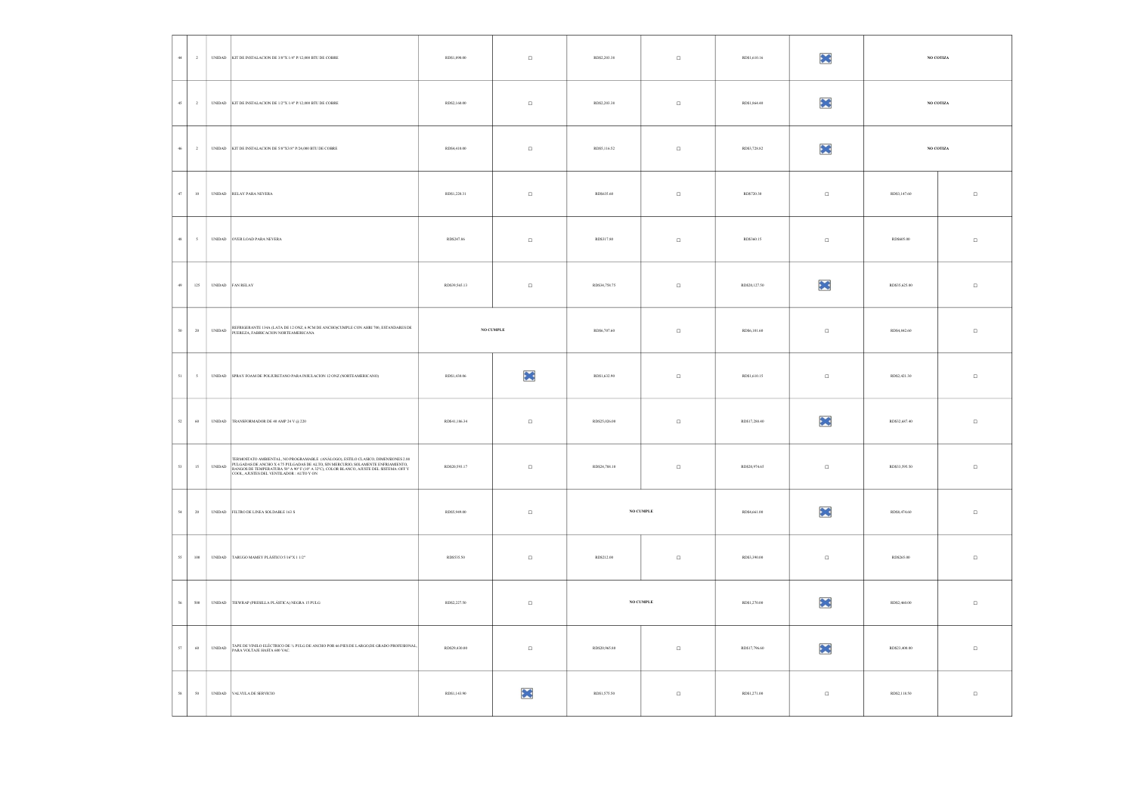| $44\,$<br>$\,$ $\,$          |                                | UNIDAD KIT DE INSTALACION DE 3/8"X 1/4" P/12,000 BTU DE COBRE                                                                                                                                                                                                                                          | RD\$1,890.00  | $\Box$    | RD\$2,203.38  | $\Box$ | RD\$1,610.16  | ×        |               | $\rm NO$ COTIZA |
|------------------------------|--------------------------------|--------------------------------------------------------------------------------------------------------------------------------------------------------------------------------------------------------------------------------------------------------------------------------------------------------|---------------|-----------|---------------|--------|---------------|----------|---------------|-----------------|
| $45\,$<br>$\,$ 2 $\,$        |                                | UNIDAD KIT DE INSTALACION DE 1/2"X 1/4" P/12,000 BTU DE COBRE                                                                                                                                                                                                                                          | RD\$2,160.00  | $\Box$    | RD\$2,203.38  | $\Box$ | RD\$1,864.40  | ×        |               | NO COTIZA       |
| $46\,$<br>$\overline{2}$     |                                | UNIDAD KIT DE INSTALACION DE 5/8"X3/8" P/24,000 BTU DE COBRE                                                                                                                                                                                                                                           | RD\$4,410.00  | $\Box$    | RD\$5,116.52  | $\Box$ | RD\$3,728.82  | ×        |               | $\rm NO$ COTIZA |
| $47\,$<br>$10\,$             |                                | UNIDAD RELAY PARA NEVERA                                                                                                                                                                                                                                                                               | RD\$1,220.31  | $\Box$    | RD\$635.60    | $\Box$ | RD\$720.30    | $\Box$   | RD\$3,147.60  | $\Box$          |
| 48<br>$\mathfrak s$          |                                | UNIDAD OVER LOAD PARA NEVERA                                                                                                                                                                                                                                                                           | RD\$247.86    | $\Box$    | RD\$317.80    | $\Box$ | RD\$360.15    | $\Box$   | RD\$605.00    | $\Box$          |
| $125\,$<br>49                |                                | UNIDAD FAN RELAY                                                                                                                                                                                                                                                                                       | RD\$39.565.13 | $\Box$    | RD\$34,758.75 | $\Box$ | RD\$20,127.50 | $\infty$ | RD\$35.625.00 | $\Box$          |
| $20\,$<br>$50 -$             | $\ensuremath{\mathsf{UNIDAD}}$ | REFRIGERANTE 134A (LATA DE 12 ONZ, 6.9CM DE ANCHO)CUMPLE CON AHRI 700, ESTANDARES DE PUEREZA, FABRICACION NORTEAMERICANA                                                                                                                                                                               |               | NO CUMPLE | RD\$6,707.60  | $\Box$ | RD\$6,101.60  | $\Box$   | RD\$4,842.60  | $\Box$          |
| $\mathfrak{sl}$<br>$\,$ $\,$ |                                | UNIDAD SPRAY FOAM DE POLIURETANO PARA INSULACION 12 ONZ (NORTEAMERICANO)                                                                                                                                                                                                                               | RD\$1,430.06  | ×         | RD\$1,632.90  | $\Box$ | RD\$1,610.15  | $\Box$   | RD\$2,421.30  | $\Box$          |
| $52\,$<br>60                 |                                | UNIDAD TRANSFORMADOR DE 40 AMP 24 V @ 220                                                                                                                                                                                                                                                              | RD\$41,186.34 | $\Box$    | RD\$25,026.00 | $\Box$ | RD\$17,288.40 | ×        | RD\$32,687.40 | $\Box$          |
| $15\,$<br>$53 -$             | $\ensuremath{\mathsf{UNIDAD}}$ | TERMOSTATO AMBIENTAL, NO PROGRAMABLE (ANÁLOGO), ESTILO CLASICO, DIMENSIONES 2.88<br>LARGON DE ANCHO X 4.75 PULGADAS DE ALTO, SIN MERCURIO, SOLAMENTE ENFRIAMIENTO, RANGOS DE TEMPERATURA 50° A 90° F (10° A 32°C), COLOR BLANCO, AJUSTE DEL SISTEMA: OFF Y<br>COOL, AJUSTES DEL VENTILADOR : AUTO Y ON | RD\$20,593.17 | $\Box$    | RD\$24,788.10 | $\Box$ | RD\$20,974.65 | $\Box$   | RD\$33,595.50 | $\Box$          |
| 54<br>$20\,$                 |                                | UNIDAD FILTRO DE LINEA SOLDABLE 163 S                                                                                                                                                                                                                                                                  | RD\$5,949.00  | $\Box$    | NO CUMPLE     |        | RD\$4,661.00  | ×        | RD\$8,474.60  | $\Box$          |
| $55\,$<br>$100\,$            |                                | UNIDAD TARUGO MAMEY PLÁSTICO 5/16"X 1 1/2"                                                                                                                                                                                                                                                             | RD\$535.50    | $\Box$    | RD\$212.00    | $\Box$ | RD\$3,390.00  | $\Box$   | RD\$265.00    | $\Box$          |
| $56\,$<br>500                |                                | UNIDAD TIEWRAP (PRESILLA PLÁSTICA) NEGRA 15 PULG                                                                                                                                                                                                                                                       | RD\$2,227.50  | $\Box$    | NO CUMPLE     |        | RD\$1,270.00  | ×        | RD\$2,460.00  | $\Box$          |
| $\sqrt{57}$<br>$\;$ 60       | UNIDAD                         | TAPE DE VINILO ELÉCTRICO DE % PULG DE ANCHO POR 66 PIES DE LARGO, DE GRADO PROFESIONAL,<br>PARA VOLTAJE HASTA 600 VAC.                                                                                                                                                                                 | RD\$29,430.00 | $\Box$    | RD\$20,965.80 | $\Box$ | RD\$17,796.60 | ×        | RD\$23,400.00 | $\Box$          |
| 50<br>58                     |                                | UNIDAD VALVULA DE SERVICIO                                                                                                                                                                                                                                                                             | RD\$1,143.90  | ₩         | RD\$1,575.50  | $\Box$ | RD\$1,271.00  | $\Box$   | RD\$2,118.50  | $\Box$          |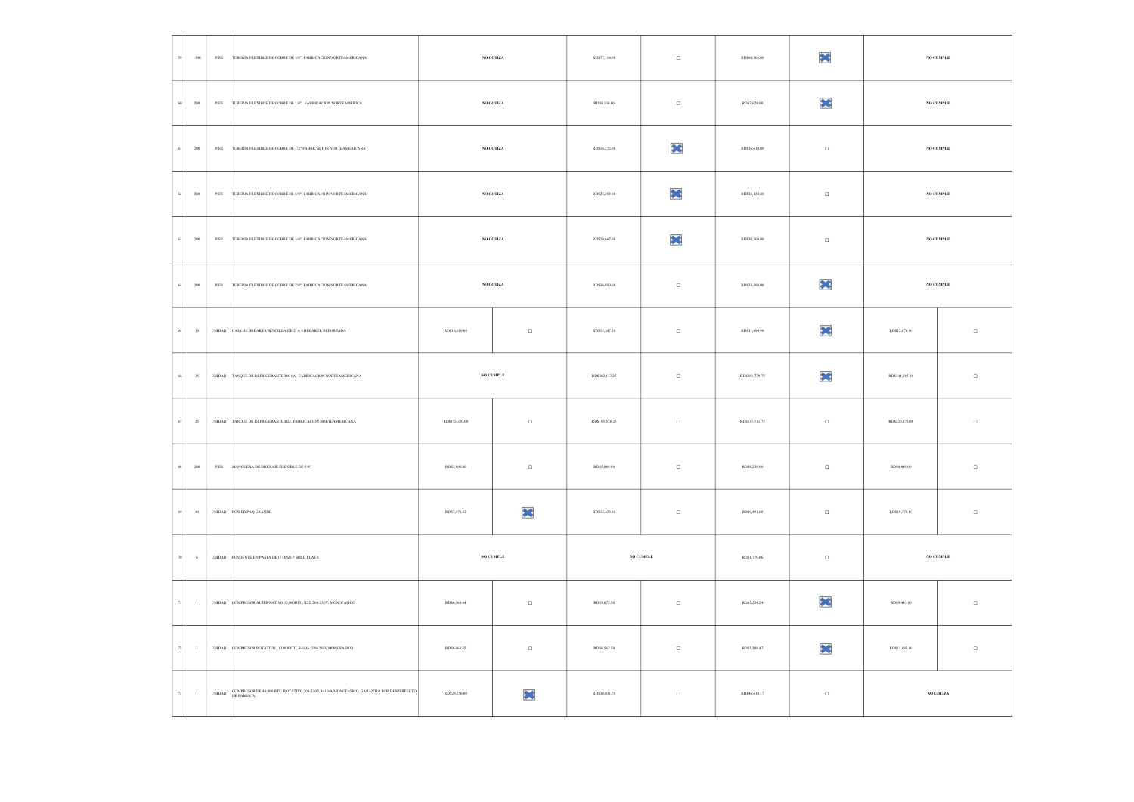| 59<br>1300                        | $\ensuremath{\mathsf{PIES}}$ | TUBERIA FLEXIBLE DE COBRE DE 3/8", FABRICACION NORTEAMERICANA                                            | $\rm NO$ COTIZA |                 | RD\$77,116.00  | $\Box$    | RD\$68,302.00  | ×        |                | NO CUMPLE       |
|-----------------------------------|------------------------------|----------------------------------------------------------------------------------------------------------|-----------------|-----------------|----------------|-----------|----------------|----------|----------------|-----------------|
| $60\,$<br>$_{\rm 200}$            |                              | PIES TUBERIA FLEXIBLE DE COBRE DE 1/4", FABRICACION NORTEAMERICA                                         |                 | $\rm NO$ COTIZA | RD\$8,136.00   | $\Box$    | RD\$7,628.00   | ×        |                | NO CUMPLE       |
| $_{\rm 200}$<br>$61\,$            | $\ensuremath{\mathsf{PIES}}$ | TUBERIA FLEXIBLE DE COBRE DE 1/2" FABRICACION NORTEAMERICANA                                             |                 | $\rm NO$ COTIZA | RD\$16,272.00  | ×         | RD\$16,610.00  | $\Box$   |                | NO CUMPLE       |
| $62\,$<br>$_{\rm 200}$            | $PIES$                       | TUBERIA FLEXIBLE DE COBRE DE 5/8", FABRICACION NORTEAMERICANA                                            |                 | NO COTIZA       | RD\$25,254.00  | ×         | RD\$25,424.00  | $\Box$   |                | NO CUMPLE       |
| 63<br>$200\,$                     | PIES                         | TUBERIA FLEXIBLE DE COBRE DE 3/4", FABRICACION NORTEAMERICANA                                            |                 | $\rm NO$ COTIZA | RD\$29,662.00  | ×         | RD\$30,508.00  | $\Box$   |                | $\rm NO$ CUMPLE |
| $64\,$<br>$200\,$                 |                              | PIES TUBERIA FLEXIBLE DE COBRE DE 7/8", FABRICACION NORTEAMERICANA                                       |                 | $\rm NO$ COTIZA | RD\$36,950.00  | $\Box$    | RD\$33,898.00  | ×        |                | NO CUMPLE       |
| $10\,$<br>$65\,$                  |                              | UNIDAD CAJA DE BREAKER SENCILLA DE 2 A 4 BREAKER REFORZADA                                               | RD\$16,110.00   | $\Box$          | RD\$13,347.50  | $\Box$    | RD\$11,694.90  | $\infty$ | RD\$12,670.00  | $\Box$          |
| 35<br>$66\,$                      |                              | UNIDAD TANQUE DE REFRIGERANTE R410A, FABRICACION NORTEAMERICANA                                          |                 | NO CUMPLE       | RD\$362,143.25 | $\Box$    | RD\$281,779.75 | ×        | RD\$444,915.10 | $\Box$          |
| $67\,$<br>$\mathbf{25}$           |                              | UNIDAD TANQUE DE REFRIGERANTE R22, FABRICACION NORTEAMERICANA                                            | RD\$155,250.00  | $\Box$          | RD\$193,538.25 | $\Box$    | RD\$137,711.75 | $\Box$   | RD\$220,375.00 | $\Box$          |
| $200\,$<br>$68\,$                 |                              | PIES MANGUERA DE DRENAJE FLEXIBLE DE 3/8"                                                                | RD\$3,960.00    | $\Box$          | RD\$5,084.00   | $\Box$    | RD\$4,238.00   | $\Box$   | RD\$4,840.00   | $\Box$          |
| 40<br>$69\,$                      |                              | UNIDAD POWER PAQ GRANDE                                                                                  | RD\$7,474.32    | ×               | RD\$12,338.80  | $\Box$    | RD\$9,491.60   | $\Box$   | RD\$19,370.40  | $\Box$          |
| $\,$ 6 $\,$<br>$70\,$             |                              | UNIDAD FUNDENTE EN PASTA DE (7 ONZ) P SOLD PLATA                                                         |                 | NO CUMPLE       |                | NO CUMPLE | RD\$1,779.66   | $\Box$   |                | NO CUMPLE       |
| $\scriptstyle{71}$<br>$\,$ 1 $\,$ |                              | UNIDAD COMPRESOR ALTERNATIVO 12,000BTU, R22, 208-230V, MONOFASICO                                        | RD\$6,368.64    | $\Box$          | RD\$5,672.50   | $\Box$    | RD\$5,254.24   | ×        | RD\$9,443.10   | $\Box$          |
| $72\,$<br>$\,$ 1 $\,$             |                              | UNIDAD COMPRESOR ROTATIVO 12,000BTU, R410A, 208-230V,MONOFASICO                                          | RD\$6,063.55    | $\Box$          | RD\$6,562.50   | $\Box$    | RD\$5.508.47   | ×        | RD\$11,085.00  | $\Box$          |
| $73\,$<br>$\,$ 1 $\,$             |                              | UNIDAD COMPRESOR DE 48,000 BTU, ROTATIVO,208-230V,R410-A,MONOFÁSICO, GARANTIA POR DESPERFECTO DE FABRICA | RD\$29.250.00   | ×               | RD\$30.031.78  | $\Box$    | RD\$46,610.17  | $\Box$   |                | NO COTIZA       |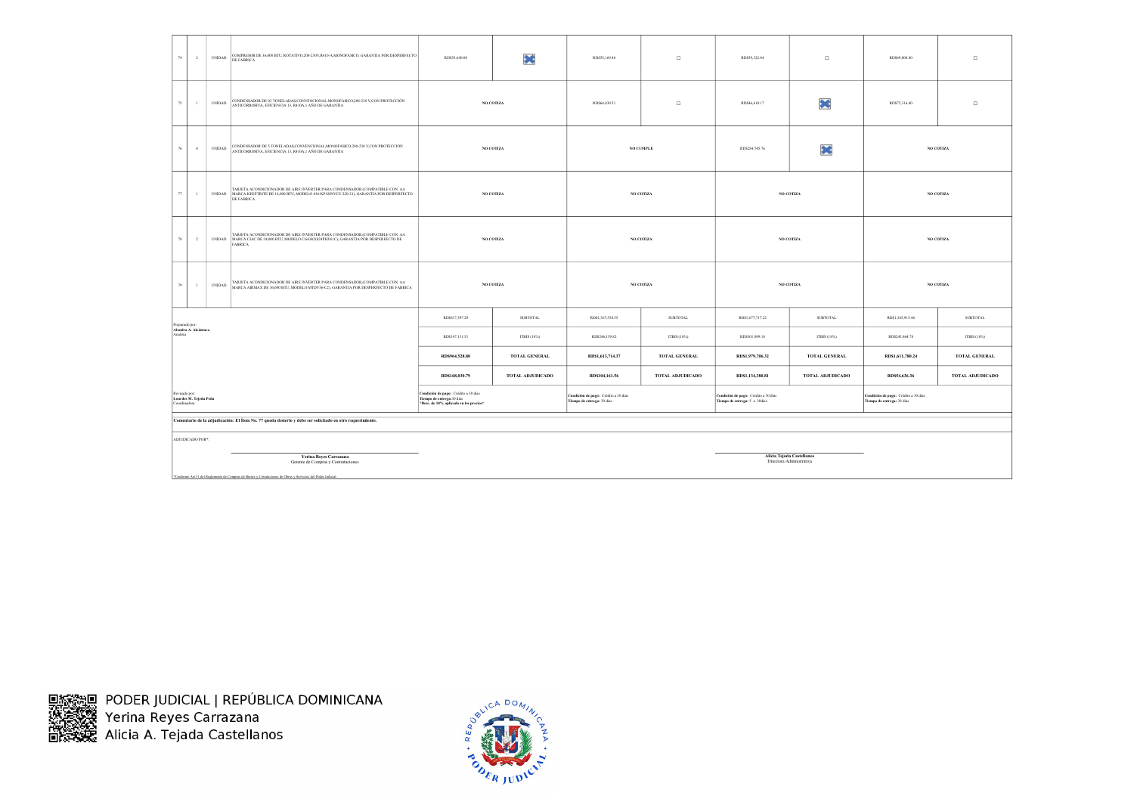|          | 74<br>$\overline{2}$                                    | <b>UNIDAD</b>                  | COMPRESOR DE 36,000 BTU, ROTATIVO,208-230V,R410-A,MONOFÁSICO, GARANTIA POR DESPERFECTO<br>DE FABRICA                                                                                      | RD\$53,640.00                                                                                                | ×                       | RD\$55,169.48                                                      | $\Box$           | RD\$59,322.04                                                         | $\Box$                                                | RD\$69,008.00                                                      | $\Box$           |
|----------|---------------------------------------------------------|--------------------------------|-------------------------------------------------------------------------------------------------------------------------------------------------------------------------------------------|--------------------------------------------------------------------------------------------------------------|-------------------------|--------------------------------------------------------------------|------------------|-----------------------------------------------------------------------|-------------------------------------------------------|--------------------------------------------------------------------|------------------|
|          | 75<br>$\overline{1}$                                    | <b>UNIDAD</b>                  | CONDENSADOR DE 03 TONELADAS,CONVENCIONAL,MONOFÁSICO,208-230 V,CON PROTECCIÓN<br>ANTICORROSIVA, EFICIENCIA 13, R410A,1 AÑO DE GARANTIA                                                     |                                                                                                              | NO COTIZA               | RD\$64,830.51                                                      | $\Box$           | RD\$46,610.17                                                         | ×                                                     | RD\$72,316.00                                                      | $\Box$           |
|          | 4<br>$76\,$                                             | $\ensuremath{\mathsf{UNIDAD}}$ | CONDENSADOR DE 5 TONELADAS,CONVENCIONAL,MONOFÁSICO,208-230 V,CON PROTECCIÓN<br>ANTICORROSIVA, EFICIENCIA 13, R410A,1 AÑO DE GARANTIA                                                      |                                                                                                              | NO COTIZA               |                                                                    | NO CUMPLE        | RD\$284,745.76                                                        | ×                                                     |                                                                    | NO COTIZA        |
|          | 77<br>$\mathbf{1}$                                      |                                | TARJETA ACONDICIONADOR DE AIRE INVERTER PARA CONDENSADOR (COMPATIBLE CON AA<br>UNIDAD MARCA KEEPTRITE DE 18,000 BTU, MODELO 636-KP18INVCU-220-21), GARANTIA POR DESPERFECTO<br>DE FABRICA |                                                                                                              | NO COTIZA               |                                                                    | $\rm NO$ COTIZA  |                                                                       | NO COTIZA                                             |                                                                    | NO COTIZA        |
|          | 78<br>$\overline{2}$                                    |                                | TARJETA ACONDICIONADOR DE AIRE INVERTER PARA CONDENSADOR,(COMPATIBLE CON AA<br>UNIDAD MARCA CIAC DE 24,000 BTU, MODELO CG43KX024PH3N1C), GARANTIA POR DESPERFECTO DE<br><b>FABRICA</b>    |                                                                                                              | NO COTIZA               |                                                                    | NO COTIZA        |                                                                       | NO COTIZA                                             |                                                                    | NO COTIZA        |
|          | 79<br>$\overline{1}$                                    | <b>UNIDAD</b>                  | TARJETA ACONDICIONADOR DE AIRE INVERTER PARA CONDENSADOR,(COMPATIBLE CON AA<br>MARCA AIRMAX DE 36,000 BTU, MODELO MTDV36-C2), GARANTIA POR DESPERFECTO DE FABRICA                         |                                                                                                              | NO COTIZA               |                                                                    | NO COTIZA        |                                                                       | NO COTIZA                                             |                                                                    | NO COTIZA        |
|          | Preparado por:                                          |                                |                                                                                                                                                                                           | RD\$817,397.29                                                                                               | <b>SUBTOTAL</b>         | RD\$1,367,554.55                                                   | <b>SUBTOTAL</b>  | RD\$1,677,717.22                                                      | <b>SUBTOTAL</b>                                       | RD\$1,365,915.46                                                   | SUBTOTAL         |
| Analista | Alondra A. Alcántara                                    |                                |                                                                                                                                                                                           | RD\$147,131.51                                                                                               | ITBIS (18%)             | RD\$246,159.82                                                     | ITBIS (18%)      | RD\$301,989.10                                                        | ITBIS (18%)                                           | RD\$245,864.78                                                     | ITBIS (18%)      |
|          |                                                         |                                |                                                                                                                                                                                           | RD\$964,528.80                                                                                               | TOTAL GENERAL           | RD\$1,613,714.37                                                   | TOTAL GENERAL    | RD\$1,979,706.32                                                      | TOTAL GENERAL                                         | RD\$1,611,780.24                                                   | TOTAL GENERAL    |
|          |                                                         |                                |                                                                                                                                                                                           | RD\$168,030.79                                                                                               | <b>TOTAL ADJUDICADO</b> | RD\$104,161.56                                                     | TOTAL ADJUDICADO | RD\$1,134,380.81                                                      | TOTAL ADJUDICADO                                      | RD\$54,636.36                                                      | TOTAL ADJUDICADO |
|          | Revisado por:<br>Lourdes M. Tejeda Peña<br>Coordinadora |                                |                                                                                                                                                                                           | Condición de pago: Crédito a 30 días<br>Tiempo de entrega: 30 dias<br>*Desc. de 10% aplicado en los precios* |                         | Condición de pago: Crédito a 30 días<br>Tiempo de entrega: 30 días |                  | Condición de pago: Crédito a 30 días<br>Tiempo de entrega: 5 a 30días |                                                       | Condición de pago: Crédito a 30 días<br>Tiempo de entrega: 30 días |                  |
|          |                                                         |                                | Comentario de la adjudicación: El Ítem No. 77 queda desierto y debe ser solicitado en otro requerimiento.                                                                                 |                                                                                                              |                         |                                                                    |                  |                                                                       |                                                       |                                                                    |                  |
|          | ADJUDICADO POR <sup>+</sup> :                           |                                |                                                                                                                                                                                           |                                                                                                              |                         |                                                                    |                  |                                                                       |                                                       |                                                                    |                  |
|          |                                                         |                                | <b>Yerina Reyes Carrazana</b><br>Gerente de Compras y Contrataciones<br>*Conforme Art.31 del Regiamento de Compras de Bienes y Cotrataciones de Obras y Servicios del Poder Judicial.     |                                                                                                              |                         |                                                                    |                  |                                                                       | Alicia Tejada Castellanos<br>Directora Administrativa |                                                                    |                  |

国務發回 PODER JUDICIAL | REPÚBLICA DOMINICANA<br>狭定数 Yerina Reyes Carrazana<br>固然数据 Alicia A. Tejada Castellanos

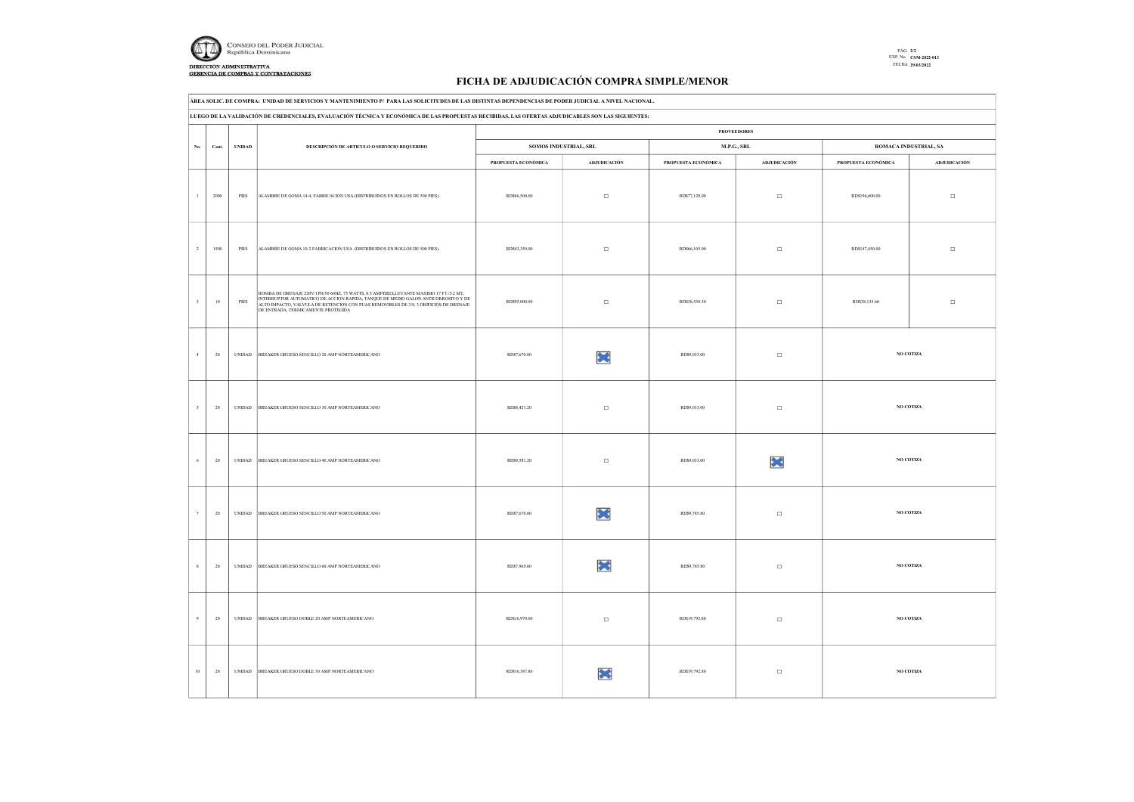

## PÁG. 2/2 EXP. No. CSM-2022-013 FECHA 29/03/2022

## FICHA DE ADJUDICACIÓN COMPRA SIMPLE/MENOR

ÁREA SOLIC. DE COMPRA: UNIDAD DE SERVICIOS Y MANTENIMIENTO P/ PARA LAS SOLICITUDES DE LAS DISTINTAS DEPENDENCIAS DE PODER JUDICIAL A NIVEL NACIONAL.

|                          |        | LUEGO DE LA VALIDACIÓN DE CREDENCIALES, EVALUACIÓN TÉCNICA Y ECONÓMICA DE LAS PROPUESTAS RECIBIDAS, LAS OFERTAS ADJUDICABLES SON LAS SIGUIENTES:<br><b>PROVEEDORES</b> |                                                                                                                                                                                                                                                                                                         |                     |                       |                     |                     |                       |              |  |  |  |
|--------------------------|--------|------------------------------------------------------------------------------------------------------------------------------------------------------------------------|---------------------------------------------------------------------------------------------------------------------------------------------------------------------------------------------------------------------------------------------------------------------------------------------------------|---------------------|-----------------------|---------------------|---------------------|-----------------------|--------------|--|--|--|
|                          |        |                                                                                                                                                                        |                                                                                                                                                                                                                                                                                                         |                     |                       |                     |                     |                       |              |  |  |  |
| No.                      | Cant.  | <b>UNIDAD</b>                                                                                                                                                          | DESCRIPCIÓN DE ARTICULO O SERVICIO REQUERIDO                                                                                                                                                                                                                                                            |                     | SOMOS INDUSTRIAL, SRL |                     | $M.P.G., SRL$       | ROMACA INDUSTRIAL, SA |              |  |  |  |
|                          |        |                                                                                                                                                                        |                                                                                                                                                                                                                                                                                                         | PROPUESTA ECONÓMICA | ADJUDICACIÓN          | PROPUESTA ECONÓMICA | <b>ADJUDICACIÓN</b> | PROPUESTA ECONÓMICA   | ADJUDICACIÓN |  |  |  |
| $\mathbf{1}$             | 2000   | PIES                                                                                                                                                                   | ALAMBRE DE GOMA 14-4, FABRICACION USA (DISTRIBUIDOS EN ROLLOS DE 500 PIES)                                                                                                                                                                                                                              | RD\$66,500.00       | $\Box$                | RD\$77,120.00       | $\Box$              | RD\$196,600.00        | $\Box$       |  |  |  |
| $\,2\,$                  | 1500   | PIES                                                                                                                                                                   | ALAMBRE DE GOMA 10-2 FABRICACION USA (DISTRIBUIDOS EN ROLLOS DE 500 PIES)                                                                                                                                                                                                                               | RD\$43,350.00       | $\Box$                | RD\$66,105.00       | $\Box$              | RD\$147,450.00        | $\Box$       |  |  |  |
| $\overline{\mathbf{3}}$  | $10$   | PIES                                                                                                                                                                   | BOMBA DE DRENAJE 220V/1PH/50-60HZ, 75 WATTS, 0.5 AMPERES,LEVANTE MAXIMO 17 FT./5.2 MT, INTERRUPTOR AUTOMATICO DE ACCION RAPIDA, TANQUE DE MEDIO GALON ANTICORROSIVO Y DE<br>ALTO IMPACTO, VALVULA DE RETENCION CON PUAS REMOVIBLES DE 3/8, 3 ORIFICIOS DE DRENAJE<br>DE ENTRADA, TERMICAMENTE PROTEGIDA | RD\$95,000.00       | $\Box$                | RD\$38,559.30       | $\Box$              | RD\$38,135.60         | $\Box$       |  |  |  |
| $\,4\,$                  | 20     | $\ensuremath{\mathsf{UNIDAD}}$                                                                                                                                         | BREAKER GRUESO SENCILLO 20 AMP NORTEAMERICANO                                                                                                                                                                                                                                                           | RD\$7,670.00        | ×                     | RD\$9,033.00        | $\Box$              | NO COTIZA             |              |  |  |  |
| $\overline{\phantom{a}}$ | $20\,$ |                                                                                                                                                                        | UNIDAD BREAKER GRUESO SENCILLO 30 AMP NORTEAMERICANO                                                                                                                                                                                                                                                    | RD\$8,421.20        | $\Box$                | RD\$9,033.00        | $\Box$              | NO COTIZA             |              |  |  |  |
| 6                        | $20\,$ | <b>UNIDAD</b>                                                                                                                                                          | BREAKER GRUESO SENCILLO 40 AMP NORTEAMERICANO                                                                                                                                                                                                                                                           | RD\$9,581.20        | $\Box$                | RD\$9,033.00        | ×                   | NO COTIZA             |              |  |  |  |
| $\overline{7}$           | 20     | $\ensuremath{\mathsf{UNIDAD}}$                                                                                                                                         | BREAKER GRUESO SENCILLO 50 AMP NORTEAMERICANO                                                                                                                                                                                                                                                           | RD\$7,670.00        | ×                     | RD\$9,785.80        | $\Box$              | NO COTIZA             |              |  |  |  |
| $\mathbf{s}$             | $20\,$ | $\ensuremath{\mathsf{UNIDAD}}$                                                                                                                                         | BREAKER GRUESO SENCILLO 60 AMP NORTEAMERICANO                                                                                                                                                                                                                                                           | RD\$7,965.00        | ×                     | RD\$9,785.80        | $\Box$              | NO COTIZA             |              |  |  |  |
|                          | $20\,$ | $\ensuremath{\mathsf{UNIDAD}}$                                                                                                                                         | BREAKER GRUESO DOBLE 20 AMP NORTEAMERICANO                                                                                                                                                                                                                                                              | RD\$16,970.00       | $\Box$                | RD\$19,792.80       | $\Box$              | NO COTIZA             |              |  |  |  |
| $10\,$                   | $20\,$ | <b>UNIDAD</b>                                                                                                                                                          | BREAKER GRUESO DOBLE 30 AMP NORTEAMERICANO                                                                                                                                                                                                                                                              | RD\$16,387.80       |                       | RD\$19,792.80       | $\Box$              | NO COTIZA             |              |  |  |  |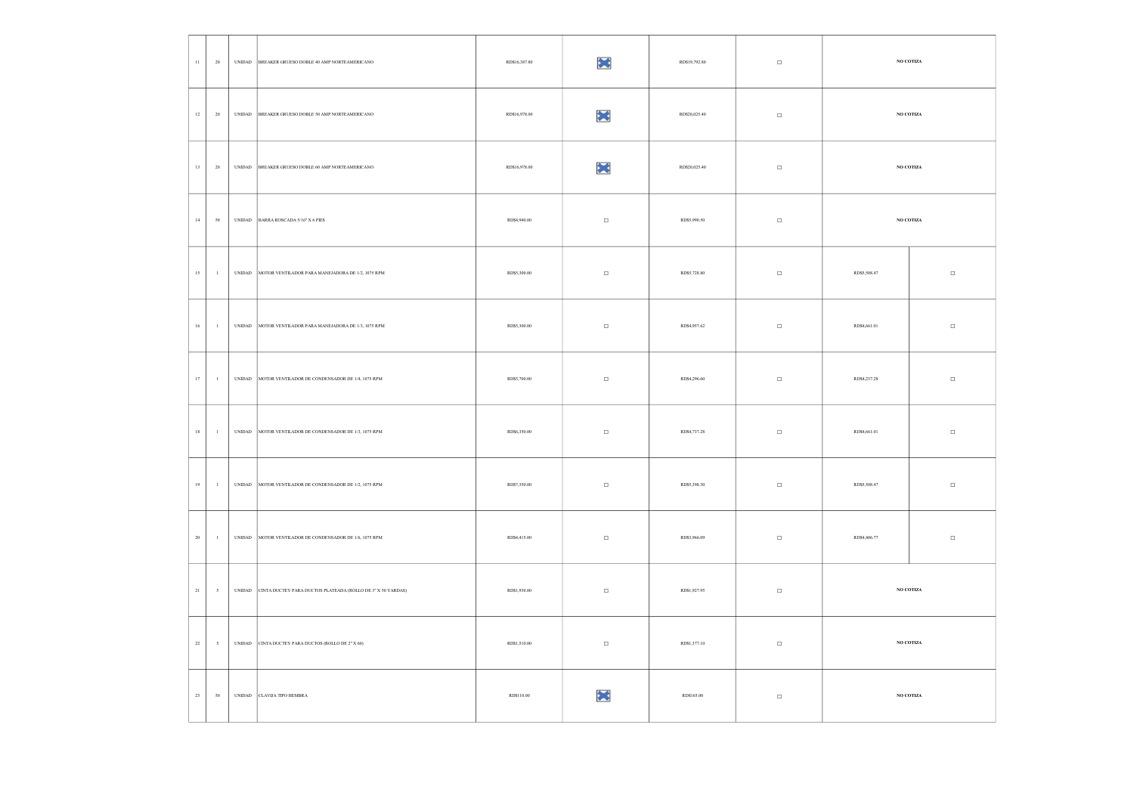| $11\,$ | 20           | $\ensuremath{\text{UNIDAD}}$ | BREAKER GRUESO DOBLE 40 AMP NORTEAMERICANO                  | RD\$16,387.80 | ×      | RD\$19,792.80 | $\Box$ |              | NO COTIZA       |
|--------|--------------|------------------------------|-------------------------------------------------------------|---------------|--------|---------------|--------|--------------|-----------------|
| $12\,$ | 20           |                              | UNIDAD BREAKER GRUESO DOBLE 50 AMP NORTEAMERICANO           | RD\$16,978.00 | ×      | RD\$20,025.40 | $\Box$ |              | NO COTIZA       |
| $13\,$ | ${\bf 20}$   |                              | UNIDAD BREAKER GRUESO DOBLE 60 AMP NORTEAMERICANO           | RD\$16,978.00 | ×      | RD\$20,025.40 | $\Box$ |              | $\rm NO$ COTIZA |
| $14\,$ | $50\,$       |                              | UNIDAD BARRA ROSCADA 5/16" X 6 PIES                         | RD\$4,940.00  | $\Box$ | RD\$5,990.50  | $\Box$ |              | NO COTIZA       |
| $15\,$ | $\mathbf{1}$ |                              | UNIDAD MOTOR VENTILADOR PARA MANEJADORA DE 1/2, 1075 RPM    | RD\$5,300.00  | $\Box$ | RD\$5,728.80  | $\Box$ | RD\$5,508.47 | $\Box$          |
| $16\,$ | $\mathbf{1}$ |                              | UNIDAD MOTOR VENTILADOR PARA MANEJADORA DE 1/3, 1075 RPM    | RD\$5,300.00  | $\Box$ | RD\$4,957.62  | $\Box$ | RD\$4,661.01 | $\Box$          |
| $17\,$ | $\mathbf{1}$ |                              | UNIDAD MOTOR VENTILADOR DE CONDENSADOR DE 1/4, 1075 RPM     | RD\$5,700.00  | $\Box$ | RD\$4,296.60  | $\Box$ | RD\$4,237.28 | $\Box$          |
| $18\,$ | $\mathbf{1}$ |                              | UNIDAD MOTOR VENTILADOR DE CONDENSADOR DE 1/3, 1075 RPM     | RD\$6,350.00  | $\Box$ | RD\$4,737.28  | $\Box$ | RD\$4,661.01 | $\Box$          |
| 19     | $\mathbf{1}$ |                              | UNIDAD MOTOR VENTILADOR DE CONDENSADOR DE 1/2, 1075 RPM     | RD\$7,350.00  | $\Box$ | RD\$5,398.30  | $\Box$ | RD\$5,508.47 | $\Box$          |
| $20\,$ | $\,$ $\,$    |                              | UNIDAD MOTOR VENTILADOR DE CONDENSADOR DE 1/6, 1075 RPM     | RD\$4,415.00  | $\Box$ | RD\$3,966.09  | $\Box$ | RD\$4,406.77 | $\Box$          |
| $21\,$ | 5            | $\ensuremath{\text{UNIDAD}}$ | CINTA DUCTEY PARA DUCTOS PLATEADA (ROLLO DE 3" X 50 YARDAS) | RD\$1,930.00  | $\Box$ | RD\$1,927.95  | $\Box$ |              | $\rm NO$ COTIZA |
| $22\,$ | $\cdot$ 5    | $\ensuremath{\text{UNIDAD}}$ | CINTA DUCTEY PARA DUCTOS (ROLLO DE 2" X 60)                 | RD\$1,510.00  | $\Box$ | RD\$1,377.10  | $\Box$ |              | $\rm NO$ COTIZA |
| $23\,$ | $50\,$       |                              | UNIDAD CLAVIJA TIPO HEMBRA                                  | RD\$110.00    | ×      | RD\$165.00    | $\Box$ |              | $\,$ NO COTIZA  |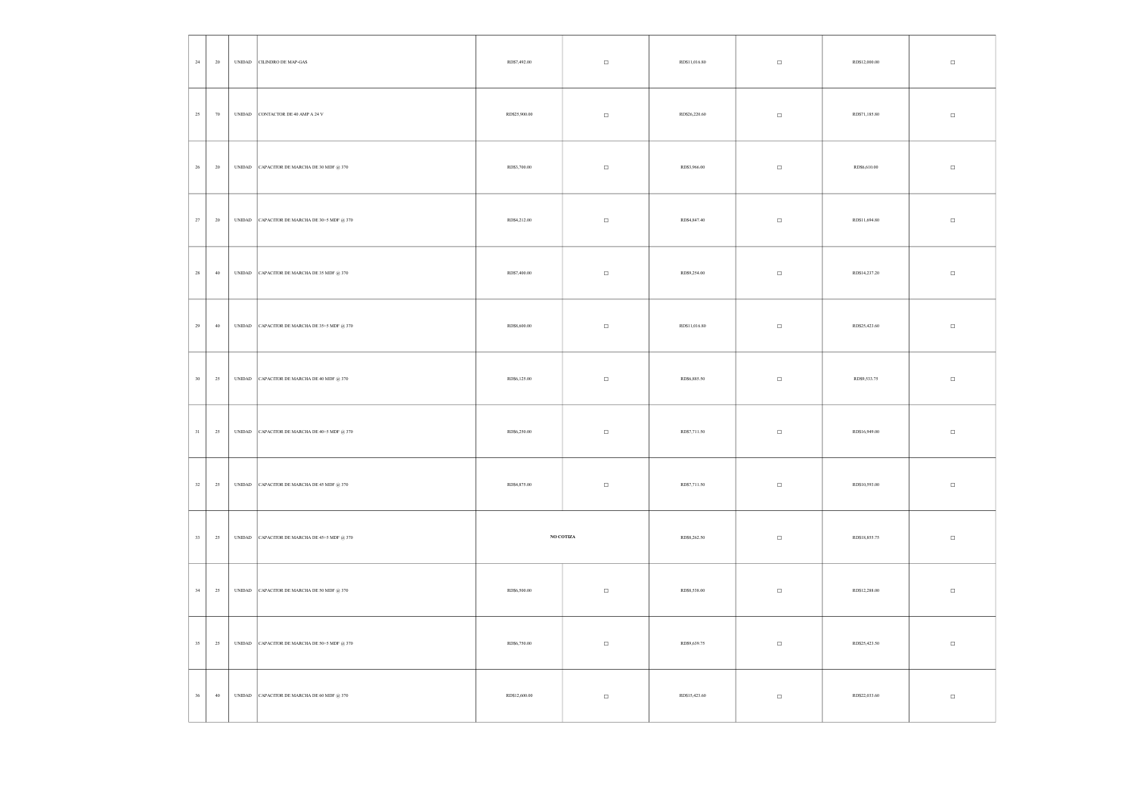| $\bf 24$    | $\,$ 20 $\,$ |                                | UNIDAD CILINDRO DE MAP-GAS                          | RD\$7,492.00  | $\Box$    | RD\$11,016.80 | $\Box$ | RD\$12,000.00 | $\Box$ |
|-------------|--------------|--------------------------------|-----------------------------------------------------|---------------|-----------|---------------|--------|---------------|--------|
| $25\,$      | 70           |                                | UNIDAD CONTACTOR DE 40 AMP A 24 V                   | RD\$25,900.00 | $\Box$    | RD\$26,220.60 | $\Box$ | RD\$71,185.80 | $\Box$ |
| $26\,$      | $20\,$       |                                | UNIDAD CAPACITOR DE MARCHA DE 30 MDF @ 370          | RD\$3,700.00  | $\Box$    | RD\$3,966.00  | $\Box$ | RD\$6,610.00  | $\Box$ |
| $27\,$      | $20\,$       |                                | UNIDAD CAPACITOR DE MARCHA DE 30+5 MDF @ 370        | RD\$4,212.00  | $\Box$    | RD\$4,847.40  | $\Box$ | RD\$11,694.80 | $\Box$ |
| $\bf 28$    | $40\,$       |                                | UNIDAD CAPACITOR DE MARCHA DE 35 MDF @ 370          | RD\$7,400.00  | $\Box$    | RD\$9,254.00  | $\Box$ | RD\$14,237.20 | $\Box$ |
| $29\,$      | 40           |                                | UNIDAD CAPACITOR DE MARCHA DE 35+5 MDF @ 370        | RD\$8,600.00  | $\Box$    | RD\$11,016.80 | $\Box$ | RD\$25,423.60 | $\Box$ |
| $30\,$      | $25\,$       |                                | UNIDAD CAPACITOR DE MARCHA DE 40 MDF @ 370          | RD\$6,125.00  | $\Box$    | RD\$6,885.50  | $\Box$ | RD\$9,533.75  | $\Box$ |
| $31\,$      | 25           |                                | UNIDAD CAPACITOR DE MARCHA DE 40+5 MDF $@$ 370 $\,$ | RD\$6,250.00  | $\Box$    | RD\$7,711.50  | $\Box$ | RD\$16,949.00 | $\Box$ |
| $32\,$      | $25\,$       |                                | UNIDAD CAPACITOR DE MARCHA DE 45 MDF @ 370          | RD\$4,875.00  | $\Box$    | RD\$7,711.50  | $\Box$ | RD\$10,593.00 | $\Box$ |
| $33\,$      | $25\,$       |                                | UNIDAD CAPACITOR DE MARCHA DE 45+5 MDF @ 370        |               | NO COTIZA | RD\$8,262.50  | $\Box$ | RD\$18,855.75 | $\Box$ |
| $_{\rm 34}$ | $25\,$       | $\ensuremath{\mathsf{UNIDAD}}$ | CAPACITOR DE MARCHA DE 50 MDF @ 370                 | RD\$6,500.00  | $\Box$    | RD\$8,538.00  | $\Box$ | RD\$12,288.00 | $\Box$ |
| $35\,$      | $25\,$       |                                | UNIDAD CAPACITOR DE MARCHA DE 50+5 MDF @ 370        | RD\$6,750.00  | $\Box$    | RD\$9,639.75  | $\Box$ | RD\$25,423.50 | $\Box$ |
| $36\,$      | $40\,$       |                                | UNIDAD CAPACITOR DE MARCHA DE 60 MDF @ 370          | RD\$12,600.00 | $\Box$    | RD\$15,423.60 | $\Box$ | RD\$22,033.60 | $\Box$ |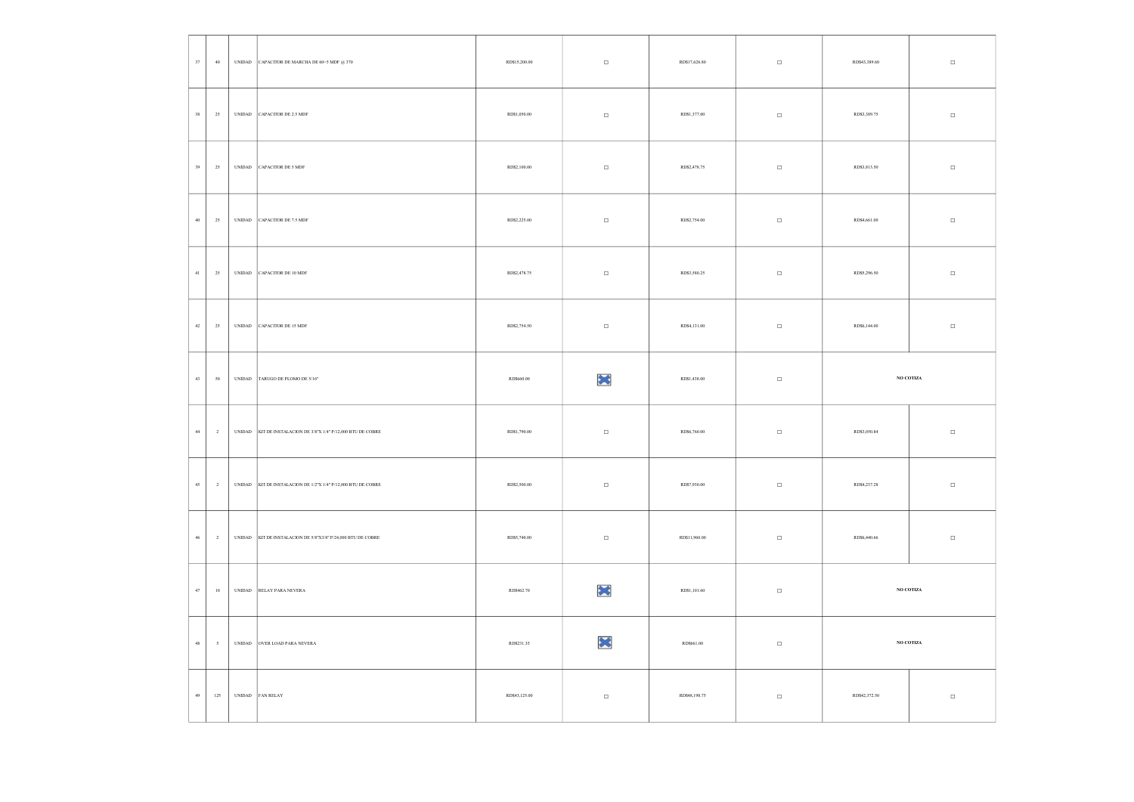| $37\,$ | $40\,$                   | UNIDAD CAPACITOR DE MARCHA DE 60+5 MDF @ 370                  | RD\$15,200.00 | $\Box$ | RD\$17,626.80 | $\Box$ | RD\$43,389.60 | $\Box$          |
|--------|--------------------------|---------------------------------------------------------------|---------------|--------|---------------|--------|---------------|-----------------|
| $38\,$ | 25                       | UNIDAD CAPACITOR DE 2.5 MDF                                   | RD\$1,050.00  | $\Box$ | RD\$1,377.00  | $\Box$ | RD\$3,389.75  | $\Box$          |
| $39\,$ | $25\,$                   | UNIDAD CAPACITOR DE 5 MDF                                     | RD\$2,100.00  | $\Box$ | RD\$2,478.75  | $\Box$ | RD\$3,813.50  | $\Box$          |
| $40\,$ | $25\,$                   | UNIDAD CAPACITOR DE 7.5 MDF                                   | RD\$2,225.00  | $\Box$ | RD\$2,754.00  | $\Box$ | RD\$4,661.00  | $\Box$          |
| $41\,$ | $25\,$                   | UNIDAD CAPACITOR DE 10 MDF                                    | RD\$2,478.75  | $\Box$ | RD\$3,580.25  | $\Box$ | RD\$5,296.50  | $\Box$          |
| $42\,$ | $25\,$                   | UNIDAD CAPACITOR DE 15 MDF                                    | RD\$2,754.50  | $\Box$ | RD\$4,131.00  | $\Box$ | RD\$6,144.00  | $\Box$          |
| $43\,$ | $50\,$                   | UNIDAD TARUGO DE PLOMO DE 5/16"                               | RD\$660.00    | ×      | RD\$1,438.00  | $\Box$ |               | $\rm NO$ COTIZA |
| $44\,$ | $\mathbf{2}$             | UNIDAD KIT DE INSTALACION DE 3/8"X 1/4" P/12,000 BTU DE COBRE | RD\$1,790.00  | $\Box$ | RD\$6,760.00  | $\Box$ | RD\$3,050.84  | $\Box$          |
| $45\,$ | $\overline{2}$           | UNIDAD KIT DE INSTALACIÓN DE 1/2"X 1/4" P/12,000 BTU DE COBRE | RD\$2,500.00  | $\Box$ | RD\$7,930.00  | $\Box$ | RD\$4,237.28  | $\Box$          |
| $46\,$ | $\overline{2}$           | UNIDAD KIT DE INSTALACION DE 5/8"X3/8" P/24,000 BTU DE COBRE  | RD\$5,740.00  | $\Box$ | RD\$11,960.00 | $\Box$ | RD\$6,440.66  | $\Box$          |
| $47\,$ | $10\,$                   | UNIDAD RELAY PARA NEVERA                                      | RD\$462.70    | ×      | RD\$1,101.60  | $\Box$ |               | $\rm NO$ COTIZA |
| $48\,$ | $\overline{\phantom{a}}$ | UNIDAD OVER LOAD PARA NEVERA                                  | RD\$231.35    | ×      | RD\$661.00    | $\Box$ |               | $\,$ NO COTIZA  |
| $49\,$ | 125                      | UNIDAD FAN RELAY                                              | RD\$43,125.00 | $\Box$ | RD\$48,198.75 | $\Box$ | RD\$42,372.50 | $\Box$          |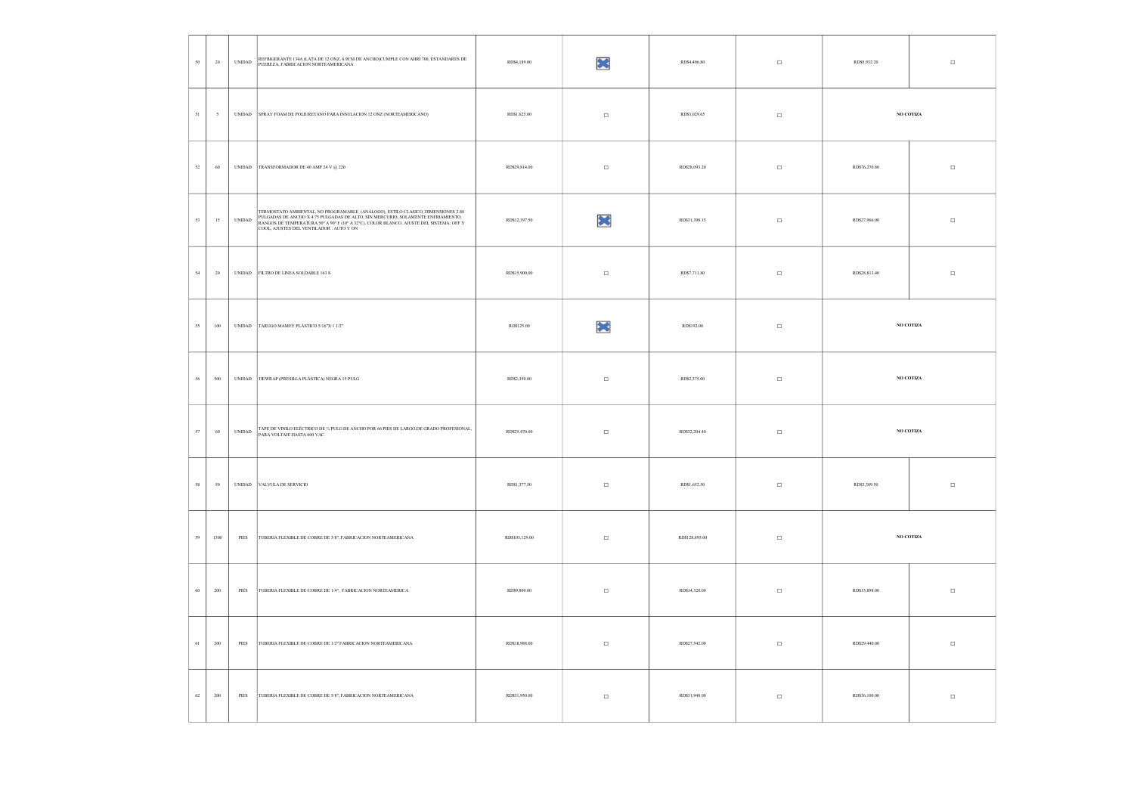| $50\,$ | 20                       | <b>UNIDAD</b>                  | REFRIGERANTE 134A (LATA DE 12 ONZ, 6.9CM DE ANCHO)CUMPLE CON AHRI 700, ESTANDARES DE<br>PUEREZA, FABRICACION NORTEAMERICANA                                                                                                          | RD\$4,189.00   | ×      | RD\$4,406.80   | $\Box$ | $\Box$<br>RD\$5,932.20  |  |
|--------|--------------------------|--------------------------------|--------------------------------------------------------------------------------------------------------------------------------------------------------------------------------------------------------------------------------------|----------------|--------|----------------|--------|-------------------------|--|
| $51\,$ | $\overline{\phantom{a}}$ | <b>UNIDAD</b>                  | SPRAY FOAM DE POLIURETANO PARA INSULACION 12 ONZ (NORTEAMERICANO)                                                                                                                                                                    | RD\$1,625.00   | $\Box$ | RD\$3,029.65   | $\Box$ | NO COTIZA               |  |
| $52\,$ | 60                       | $\ensuremath{\mathsf{UNDAD}}$  | TRANSFORMADOR DE 40 AMP 24 V $@$ 220 $\,$                                                                                                                                                                                            | RD\$29,814.00  | $\Box$ | RD\$28,093.20  | $\Box$ | RD\$76,270.80<br>$\Box$ |  |
| $53\,$ | 15                       | $\ensuremath{\mathsf{UNIDAD}}$ | TERMOSTATO AMBIENTAL, NO PROGRAMABLE (ANÁLOGO), ESTILO CLASICO, DIMENSIONES 2.88<br>PULGADAS DE ANCHO X 4.75 PULGADAS DE ALTO, SIN MERCURIO, SOLAMENTE ENFRIAMIENTO,<br>RANGOS DE TEMPERATURA 50º A 90º F (10º A 32°C), COLOR BLANCO | RD\$12,397.50  | ×      | RD\$31,398.15  | $\Box$ | $\Box$<br>RD\$27,966.00 |  |
| $54\,$ | $20\,$                   | $\ensuremath{\text{UNIDAD}}$   | FILTRO DE LINEA SOLDABLE 163 S                                                                                                                                                                                                       | RD\$15,900.00  | $\Box$ | RD\$7,711.80   | $\Box$ | RD\$28,813.40<br>$\Box$ |  |
| $55\,$ | 100                      | $\ensuremath{\mathsf{UNIDAD}}$ | TARUGO MAMEY PLÁSTICO 5/16"X 1 1/2"                                                                                                                                                                                                  | RD\$125.00     | ×      | RD\$192.00     | $\Box$ | NO COTIZA               |  |
| $56\,$ | $500\,$                  | $\ensuremath{\text{UNIDAD}}$   | TIEWRAP (PRESILLA PLÁSTICA) NEGRA 15 PULG                                                                                                                                                                                            | RD\$2,350.00   | $\Box$ | RD\$2,375.00   | $\Box$ | $\rm NO$ COTIZA         |  |
| 57     | 60                       | $\ensuremath{\mathsf{UNIDAD}}$ | TAPE DE VINILO ELÉCTRICO DE % PULG DE ANCHO POR 66 PIES DE LARGO,DE GRADO PROFESIONAL, PARA VOLTAJE HASTA 600 VAC.                                                                                                                   | RD\$25,470.00  | $\Box$ | RD\$32,204.40  | $\Box$ | $\rm NO$ COTIZA         |  |
| 58     | $\boldsymbol{50}$        | $\ensuremath{\text{UNIDAD}}$   | VALVULA DE SERVICIO                                                                                                                                                                                                                  | RD\$1,377.50   | $\Box$ | RD\$1,652.50   | $\Box$ | RD\$3,389.50<br>$\Box$  |  |
| $59\,$ | 1300                     | $\ensuremath{\mathsf{PIES}}$   | TUBERIA FLEXIBLE DE COBRE DE 3/8", FABRICACION NORTEAMERICANA                                                                                                                                                                        | RD\$103,129.00 | $\Box$ | RD\$128,895.00 | $\Box$ | $\rm NO$ COTIZA         |  |
| $60\,$ | $200\,$                  | $\rm{PIES}$                    | TUBERIA FLEXIBLE DE COBRE DE 1/4", FABRICACION NORTEAMERICA                                                                                                                                                                          | RD\$9,800.00   | $\Box$ | RD\$14,320.00  | $\Box$ | RD\$13,898.00<br>$\Box$ |  |
| $61\,$ | 200                      | $\ensuremath{\mathsf{PIES}}$   | TUBERIA FLEXIBLE DE COBRE DE 1/2" FABRICACIÓN NORTEAMERICANA                                                                                                                                                                         | RD\$18,988.00  | $\Box$ | RD\$27,542.00  | $\Box$ | RD\$29,440.00<br>$\Box$ |  |
| $62\,$ | $200\,$                  | $\rm{PIES}$                    | TUBERIA FLEXIBLE DE COBRE DE 5/8", FABRICACION NORTEAMERICANA                                                                                                                                                                        | RD\$31,950.00  | $\Box$ | RD\$31,948.00  | $\Box$ | RD\$36,100.00<br>$\Box$ |  |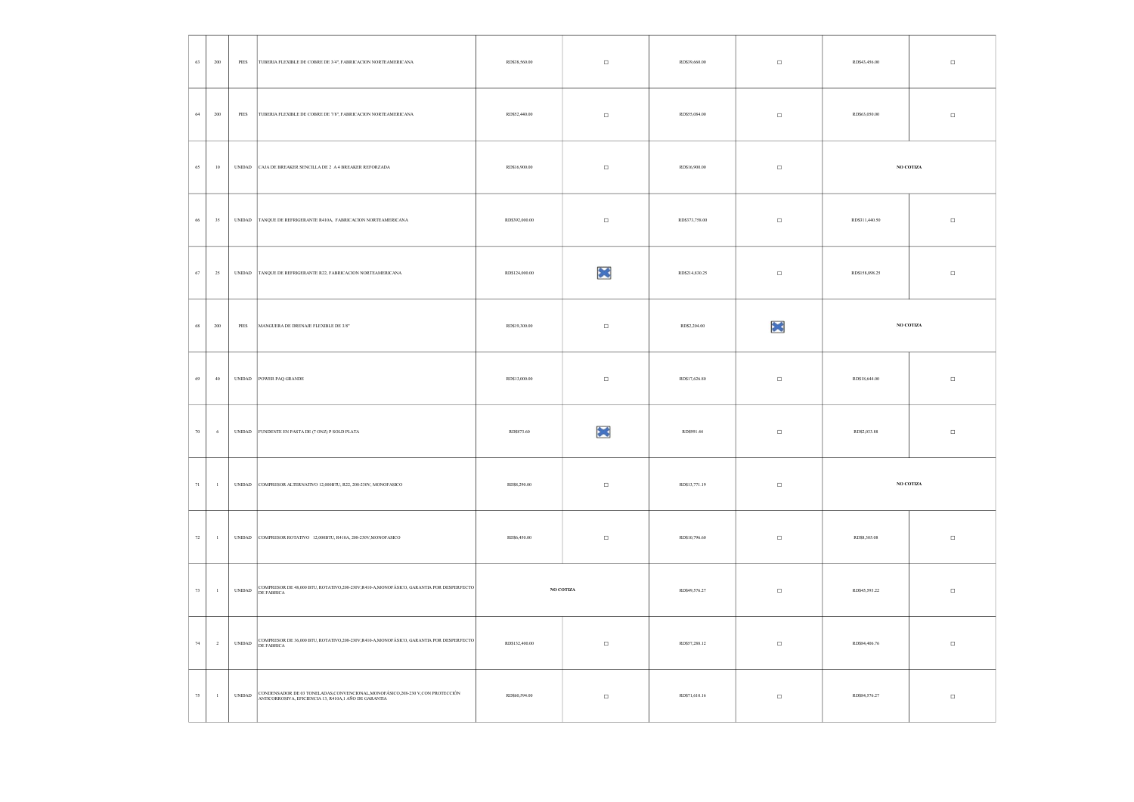| $63\,$ | 200            | PIES                           | TUBERIA FLEXIBLE DE COBRE DE 3/4", FABRICACION NORTEAMERICANA                                                                             | RD\$38,560.00  | $\Box$           | RD\$39,660.00  | $\Box$ | RD\$43,456.00  | $\Box$    |
|--------|----------------|--------------------------------|-------------------------------------------------------------------------------------------------------------------------------------------|----------------|------------------|----------------|--------|----------------|-----------|
| $64\,$ | 200            | PIES                           | TUBERIA FLEXIBLE DE COBRE DE 7/8", FABRICACION NORTEAMERICANA                                                                             | RD\$52,440.00  | $\Box$           | RD\$55,084.00  | $\Box$ | RD\$63,050.00  | $\Box$    |
| $65\,$ | 10             | $\ensuremath{\text{UNIDAD}}$   | CAJA DE BREAKER SENCILLA DE 2 A 4 BREAKER REFORZADA                                                                                       | RD\$16,900.00  | $\Box$           | RD\$16,900.00  | $\Box$ |                | NO COTIZA |
| 66     | $35\,$         | $\ensuremath{\text{UNIDAD}}$   | TANQUE DE REFRIGERANTE R410A, FABRICACION NORTEAMERICANA                                                                                  | RD\$392,000.00 | $\Box$           | RD\$373,758.00 | $\Box$ | RD\$311,440.50 | $\Box$    |
| $67\,$ | $25\,$         | $\ensuremath{\mathrm{UNIDAD}}$ | TANQUE DE REFRIGERANTE R22, FABRICACION NORTEAMERICANA                                                                                    | RD\$124,000.00 | ×                | RD\$214,830.25 | $\Box$ | RD\$158,898.25 | $\Box$    |
| 68     | $200\,$        | $\ensuremath{\mathsf{PIES}}$   | MANGUERA DE DRENAJE FLEXIBLE DE $3/8^\sigma$                                                                                              | RD\$19,300.00  | $\Box$           | RD\$2,204.00   | ×      |                | NO COTIZA |
| 69     | $40\,$         | $\ensuremath{\mathsf{UNIDAD}}$ | POWER PAQ GRANDE                                                                                                                          | RD\$13,000.00  | $\Box$           | RD\$17,626.80  | $\Box$ | RD\$18,644.00  | $\Box$    |
| $70\,$ | $\,$ 6         |                                | UNIDAD FUNDENTE EN PASTA DE (7 ONZ) P SOLD PLATA                                                                                          | RD\$873.60     | ×                | RD\$991.44     | $\Box$ | RD\$2,033.88   | $\Box$    |
| $71\,$ | $\mathbf{1}$   | $\ensuremath{\mathsf{UNIDAD}}$ | COMPRESOR ALTERNATIVO 12,000BTU, R22, 208-230V, MONOFASICO                                                                                | RD\$8,290.00   | $\Box$           | RD\$13,771.19  | $\Box$ |                | NO COTIZA |
| $72\,$ | $\mathbf{1}$   |                                | UNIDAD COMPRESOR ROTATIVO 12,000BTU, R410A, 208-230V, MONOFASICO                                                                          | RD\$6,450.00   | $\Box$           | RD\$10,796.60  | $\Box$ | RD\$8,305.08   | $\Box$    |
| $73\,$ | $\mathbf{1}$   | $\ensuremath{\mathsf{UNIDAD}}$ | COMPRESOR DE 48,000 BTU, ROTATIVO,<br>208-230V,R410-A,MONOFÁSICO, GARANTIA POR DESPERFECTO DE FABRICA                                     |                | NO COTIZA        | RD\$49,576.27  | $\Box$ | RD\$45,593.22  | $\Box$    |
| $74\,$ | $\overline{2}$ | $\ensuremath{\text{UNIDAD}}$   | COMPRESOR DE 36,000 BTU, ROTATIVO,208-230V,R410-A,MONOFÁSICO, GARANTIA POR DESPERFECTO<br>DE FABRICA                                      | RD\$132,400.00 | $\hfill \square$ | RD\$57,288.12  | $\Box$ | RD\$84,406.76  | $\Box$    |
| $75\,$ | $\mathbf{1}$   | <b>UNIDAD</b>                  | CONDENSADOR DE 03 TONELADAS, CONVENCIONAL, MONOFÁSICO, 208-230 V, CON PROTECCIÓN<br>ANTICORROSIVA, EFICIENCIA 13, R410A,1 AÑO DE GARANTIA | RD\$60,594.00  | $\Box$           | RD\$71,610.16  | $\Box$ | RD\$84,576.27  | $\Box$    |